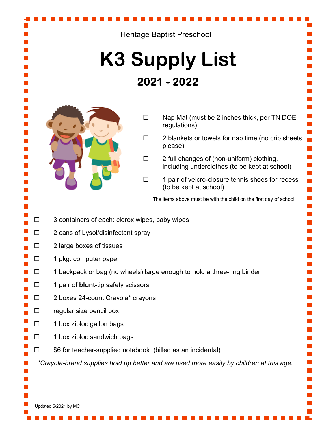## Heritage Baptist Preschool **K3 Supply List** 2021 - 2022  $\square$  Nap Mat (must be 2 inches thick, per TN DOE regulations)  $\square$  2 blankets or towels for nap time (no crib sheets m, please)  $\square$  2 full changes of (non-uniform) clothing, including underclothes (to be kept at school)  $\Box$  1 pair of velcro-closure tennis shoes for recess T, (to be kept at school) T, T, The items above must be with the child on the first day of school. T,  $\square$  3 containers of each: clorox wipes, baby wipes  $\square$  2 cans of Lysol/disinfectant spray  $\square$  2 large boxes of tissues  $\square$  1 pkg. computer paper  $\square$  1 backpack or bag (no wheels) large enough to hold a three-ring binder □ 1 pair of **blunt**-tip safety scissors  $\square$  2 boxes 24-count Crayola\* crayons  $\square$  regular size pencil box  $\square$  1 box ziploc gallon bags  $\square$  1 box ziploc sandwich bags  $\square$  \$6 for teacher-supplied notebook (billed as an incidental)  *\*Crayola-brand supplies hold up better and are used more easily by children at this age.*

Updated 5/2021 by MC